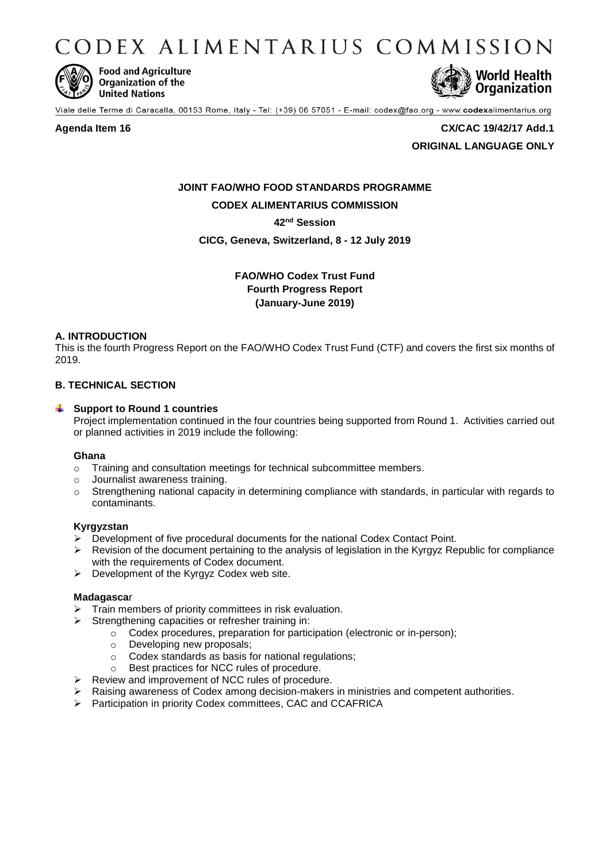CODEX ALIMENTARIUS COMMISSION



**Food and Agriculture** Organization of the **United Nations** 



Viale delle Terme di Caracalla, 00153 Rome, Italy - Tel: (+39) 06 57051 - E-mail: codex@fao.org - www.codexalimentarius.org

#### **Agenda Item 16 CX/CAC 19/42/17 Add.1**

**ORIGINAL LANGUAGE ONLY**

# **JOINT FAO/WHO FOOD STANDARDS PROGRAMME CODEX ALIMENTARIUS COMMISSION**

# **42nd Session**

# **CICG, Geneva, Switzerland, 8 - 12 July 2019**

# **FAO/WHO Codex Trust Fund Fourth Progress Report (January-June 2019)**

# **A. INTRODUCTION**

This is the fourth Progress Report on the FAO/WHO Codex Trust Fund (CTF) and covers the first six months of 2019.

# **B. TECHNICAL SECTION**

# **Support to Round 1 countries**

Project implementation continued in the four countries being supported from Round 1. Activities carried out or planned activities in 2019 include the following:

#### **Ghana**

- o Training and consultation meetings for technical subcommittee members.
- o Journalist awareness training.
- $\circ$  Strengthening national capacity in determining compliance with standards, in particular with regards to contaminants.

# **Kyrgyzstan**

- $\triangleright$  Development of five procedural documents for the national Codex Contact Point.
- $\triangleright$  Revision of the document pertaining to the analysis of legislation in the Kyrgyz Republic for compliance with the requirements of Codex document.
- $\triangleright$  Development of the Kyrgyz Codex web site.

#### **Madagasca**r

- Train members of priority committees in risk evaluation.
- $\triangleright$  Strengthening capacities or refresher training in:
	- o Codex procedures, preparation for participation (electronic or in-person);
	- o Developing new proposals;
	- o Codex standards as basis for national regulations;
	- o Best practices for NCC rules of procedure.
- $\triangleright$  Review and improvement of NCC rules of procedure.
- $\triangleright$  Raising awareness of Codex among decision-makers in ministries and competent authorities.
- Participation in priority Codex committees, CAC and CCAFRICA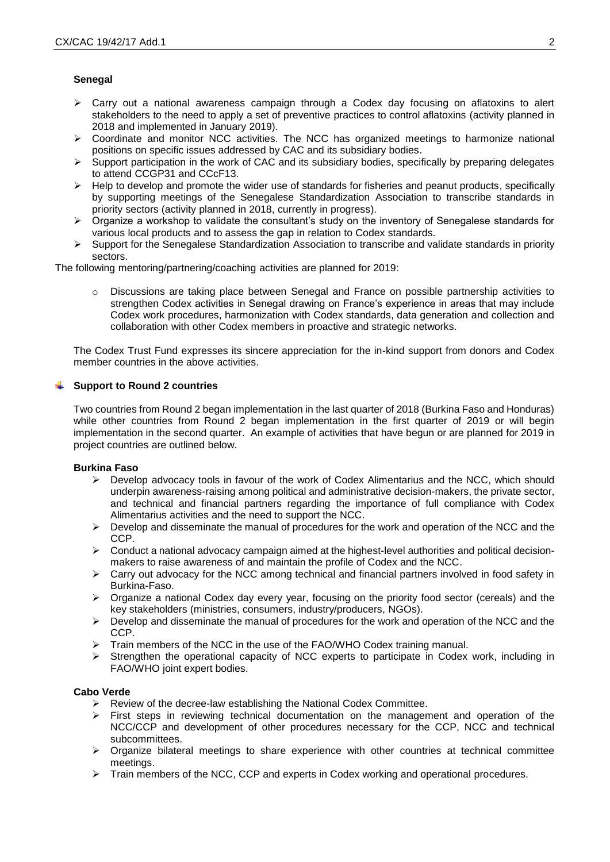## **Senegal**

- $\triangleright$  Carry out a national awareness campaign through a Codex day focusing on aflatoxins to alert stakeholders to the need to apply a set of preventive practices to control aflatoxins (activity planned in 2018 and implemented in January 2019).
- Coordinate and monitor NCC activities. The NCC has organized meetings to harmonize national positions on specific issues addressed by CAC and its subsidiary bodies.
- $\triangleright$  Support participation in the work of CAC and its subsidiary bodies, specifically by preparing delegates to attend CCGP31 and CCcF13.
- $\triangleright$  Help to develop and promote the wider use of standards for fisheries and peanut products, specifically by supporting meetings of the Senegalese Standardization Association to transcribe standards in priority sectors (activity planned in 2018, currently in progress).
- $\triangleright$  Organize a workshop to validate the consultant's study on the inventory of Senegalese standards for various local products and to assess the gap in relation to Codex standards.
- $\triangleright$  Support for the Senegalese Standardization Association to transcribe and validate standards in priority sectors.

The following mentoring/partnering/coaching activities are planned for 2019:

Discussions are taking place between Senegal and France on possible partnership activities to strengthen Codex activities in Senegal drawing on France's experience in areas that may include Codex work procedures, harmonization with Codex standards, data generation and collection and collaboration with other Codex members in proactive and strategic networks.

The Codex Trust Fund expresses its sincere appreciation for the in-kind support from donors and Codex member countries in the above activities.

#### **Support to Round 2 countries**

Two countries from Round 2 began implementation in the last quarter of 2018 (Burkina Faso and Honduras) while other countries from Round 2 began implementation in the first quarter of 2019 or will begin implementation in the second quarter. An example of activities that have begun or are planned for 2019 in project countries are outlined below.

#### **Burkina Faso**

- $\triangleright$  Develop advocacy tools in favour of the work of Codex Alimentarius and the NCC, which should underpin awareness-raising among political and administrative decision-makers, the private sector, and technical and financial partners regarding the importance of full compliance with Codex Alimentarius activities and the need to support the NCC.
- $\triangleright$  Develop and disseminate the manual of procedures for the work and operation of the NCC and the CCP.
- $\triangleright$  Conduct a national advocacy campaign aimed at the highest-level authorities and political decisionmakers to raise awareness of and maintain the profile of Codex and the NCC.
- $\triangleright$  Carry out advocacy for the NCC among technical and financial partners involved in food safety in Burkina-Faso.
- $\triangleright$  Organize a national Codex day every year, focusing on the priority food sector (cereals) and the key stakeholders (ministries, consumers, industry/producers, NGOs).
- $\triangleright$  Develop and disseminate the manual of procedures for the work and operation of the NCC and the CCP.
- Frain members of the NCC in the use of the FAO/WHO Codex training manual.
- $\triangleright$  Strengthen the operational capacity of NCC experts to participate in Codex work, including in FAO/WHO joint expert bodies.

#### **Cabo Verde**

- $\triangleright$  Review of the decree-law establishing the National Codex Committee.
- $\triangleright$  First steps in reviewing technical documentation on the management and operation of the NCC/CCP and development of other procedures necessary for the CCP, NCC and technical subcommittees.
- $\triangleright$  Organize bilateral meetings to share experience with other countries at technical committee meetings.
- $\triangleright$  Train members of the NCC, CCP and experts in Codex working and operational procedures.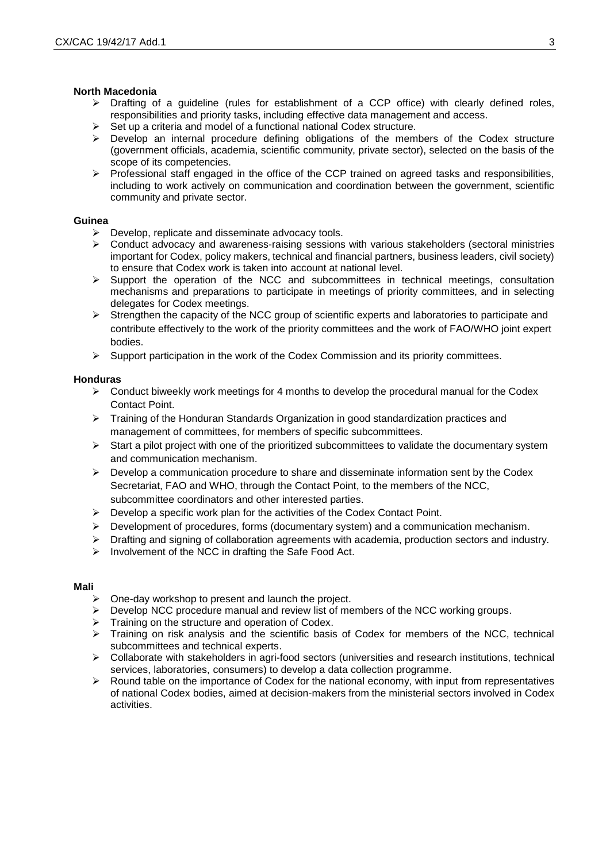#### **North Macedonia**

- $\triangleright$  Drafting of a guideline (rules for establishment of a CCP office) with clearly defined roles, responsibilities and priority tasks, including effective data management and access.
- $\triangleright$  Set up a criteria and model of a functional national Codex structure.
- $\triangleright$  Develop an internal procedure defining obligations of the members of the Codex structure (government officials, academia, scientific community, private sector), selected on the basis of the scope of its competencies.
- $\triangleright$  Professional staff engaged in the office of the CCP trained on agreed tasks and responsibilities, including to work actively on communication and coordination between the government, scientific community and private sector.

## **Guinea**

- $\triangleright$  Develop, replicate and disseminate advocacy tools.
- $\triangleright$  Conduct advocacy and awareness-raising sessions with various stakeholders (sectoral ministries important for Codex, policy makers, technical and financial partners, business leaders, civil society) to ensure that Codex work is taken into account at national level.
- $\triangleright$  Support the operation of the NCC and subcommittees in technical meetings, consultation mechanisms and preparations to participate in meetings of priority committees, and in selecting delegates for Codex meetings.
- > Strengthen the capacity of the NCC group of scientific experts and laboratories to participate and contribute effectively to the work of the priority committees and the work of FAO/WHO joint expert bodies.
- $\triangleright$  Support participation in the work of the Codex Commission and its priority committees.

## **Honduras**

- $\triangleright$  Conduct biweekly work meetings for 4 months to develop the procedural manual for the Codex Contact Point.
- $\triangleright$  Training of the Honduran Standards Organization in good standardization practices and management of committees, for members of specific subcommittees.
- $\triangleright$  Start a pilot project with one of the prioritized subcommittees to validate the documentary system and communication mechanism.
- $\triangleright$  Develop a communication procedure to share and disseminate information sent by the Codex Secretariat, FAO and WHO, through the Contact Point, to the members of the NCC, subcommittee coordinators and other interested parties.
- $\triangleright$  Develop a specific work plan for the activities of the Codex Contact Point.
- $\triangleright$  Development of procedures, forms (documentary system) and a communication mechanism.
- $\triangleright$  Drafting and signing of collaboration agreements with academia, production sectors and industry.
- $\triangleright$  Involvement of the NCC in drafting the Safe Food Act.

# **Mali**

- $\triangleright$  One-day workshop to present and launch the project.
- > Develop NCC procedure manual and review list of members of the NCC working groups.
- $\triangleright$  Training on the structure and operation of Codex.
- $\triangleright$  Training on risk analysis and the scientific basis of Codex for members of the NCC, technical subcommittees and technical experts.
- $\triangleright$  Collaborate with stakeholders in agri-food sectors (universities and research institutions, technical services, laboratories, consumers) to develop a data collection programme.
- $\triangleright$  Round table on the importance of Codex for the national economy, with input from representatives of national Codex bodies, aimed at decision-makers from the ministerial sectors involved in Codex activities.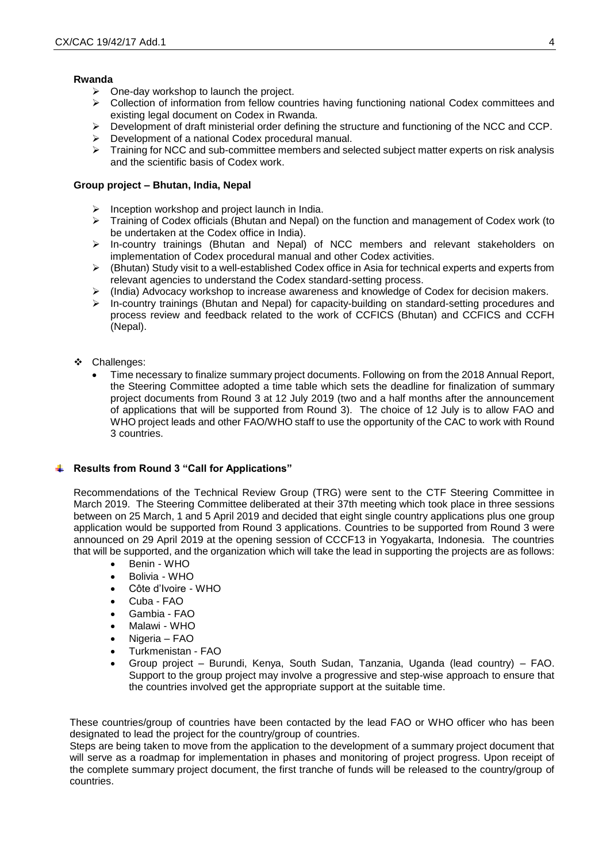#### **Rwanda**

- $\triangleright$  One-day workshop to launch the project.
- $\triangleright$  Collection of information from fellow countries having functioning national Codex committees and existing legal document on Codex in Rwanda.
- $\triangleright$  Development of draft ministerial order defining the structure and functioning of the NCC and CCP.
- Development of a national Codex procedural manual.
- $\triangleright$  Training for NCC and sub-committee members and selected subject matter experts on risk analysis and the scientific basis of Codex work.

## **Group project – Bhutan, India, Nepal**

- $\triangleright$  Inception workshop and project launch in India.
- $\triangleright$  Training of Codex officials (Bhutan and Nepal) on the function and management of Codex work (to be undertaken at the Codex office in India).
- $\triangleright$  In-country trainings (Bhutan and Nepal) of NCC members and relevant stakeholders on implementation of Codex procedural manual and other Codex activities.
- (Bhutan) Study visit to a well-established Codex office in Asia for technical experts and experts from relevant agencies to understand the Codex standard-setting process.
- (India) Advocacy workshop to increase awareness and knowledge of Codex for decision makers.<br>
In-country trainings (Bhutan and Nepal) for capacity-building on standard-setting procedures and
- In-country trainings (Bhutan and Nepal) for capacity-building on standard-setting procedures and process review and feedback related to the work of CCFICS (Bhutan) and CCFICS and CCFH (Nepal).
- Challenges:
	- Time necessary to finalize summary project documents. Following on from the 2018 Annual Report, the Steering Committee adopted a time table which sets the deadline for finalization of summary project documents from Round 3 at 12 July 2019 (two and a half months after the announcement of applications that will be supported from Round 3). The choice of 12 July is to allow FAO and WHO project leads and other FAO/WHO staff to use the opportunity of the CAC to work with Round 3 countries.

# **Results from Round 3 "Call for Applications"**

Recommendations of the Technical Review Group (TRG) were sent to the CTF Steering Committee in March 2019. The Steering Committee deliberated at their 37th meeting which took place in three sessions between on 25 March, 1 and 5 April 2019 and decided that eight single country applications plus one group application would be supported from Round 3 applications. Countries to be supported from Round 3 were announced on 29 April 2019 at the opening session of CCCF13 in Yogyakarta, Indonesia. The countries that will be supported, and the organization which will take the lead in supporting the projects are as follows:

- Benin WHO
- Bolivia WHO
- Côte d'Ivoire WHO
- Cuba FAO
- Gambia FAO
- Malawi WHO
- Nigeria FAO
- Turkmenistan FAO
- Group project Burundi, Kenya, South Sudan, Tanzania, Uganda (lead country) FAO. Support to the group project may involve a progressive and step-wise approach to ensure that the countries involved get the appropriate support at the suitable time.

These countries/group of countries have been contacted by the lead FAO or WHO officer who has been designated to lead the project for the country/group of countries.

Steps are being taken to move from the application to the development of a summary project document that will serve as a roadmap for implementation in phases and monitoring of project progress. Upon receipt of the complete summary project document, the first tranche of funds will be released to the country/group of countries.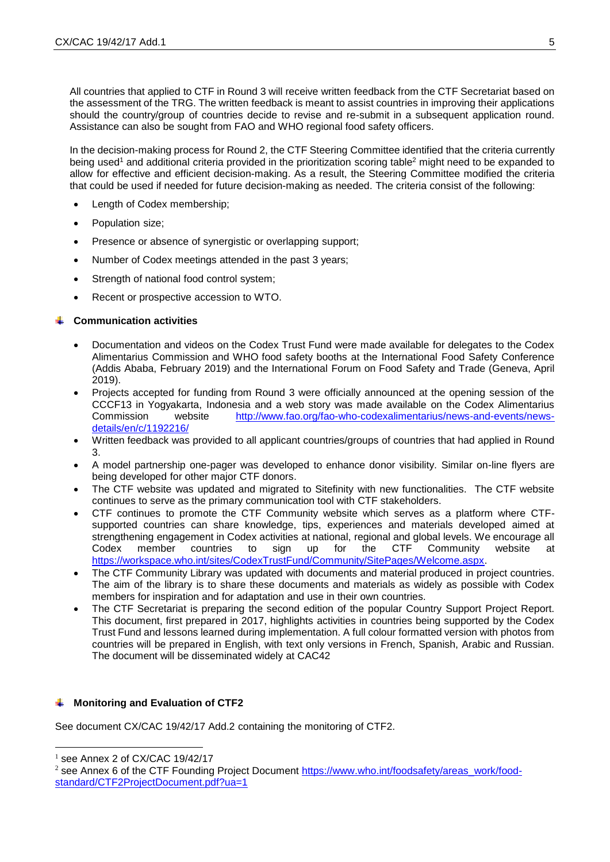All countries that applied to CTF in Round 3 will receive written feedback from the CTF Secretariat based on the assessment of the TRG. The written feedback is meant to assist countries in improving their applications should the country/group of countries decide to revise and re-submit in a subsequent application round. Assistance can also be sought from FAO and WHO regional food safety officers.

In the decision-making process for Round 2, the CTF Steering Committee identified that the criteria currently being used<sup>1</sup> and additional criteria provided in the prioritization scoring table<sup>2</sup> might need to be expanded to allow for effective and efficient decision-making. As a result, the Steering Committee modified the criteria that could be used if needed for future decision-making as needed. The criteria consist of the following:

- Length of Codex membership;
- Population size;
- Presence or absence of synergistic or overlapping support;
- Number of Codex meetings attended in the past 3 years;
- Strength of national food control system;
- Recent or prospective accession to WTO.

## **Communication activities**

- Documentation and videos on the Codex Trust Fund were made available for delegates to the Codex Alimentarius Commission and WHO food safety booths at the International Food Safety Conference (Addis Ababa, February 2019) and the International Forum on Food Safety and Trade (Geneva, April 2019).
- Projects accepted for funding from Round 3 were officially announced at the opening session of the CCCF13 in Yogyakarta, Indonesia and a web story was made available on the Codex Alimentarius Commission website [http://www.fao.org/fao-who-codexalimentarius/news-and-events/news](http://www.fao.org/fao-who-codexalimentarius/news-and-events/news-details/en/c/1192216/)[details/en/c/1192216/](http://www.fao.org/fao-who-codexalimentarius/news-and-events/news-details/en/c/1192216/)
- Written feedback was provided to all applicant countries/groups of countries that had applied in Round 3.
- A model partnership one-pager was developed to enhance donor visibility. Similar on-line flyers are being developed for other major CTF donors.
- The CTF website was updated and migrated to Sitefinity with new functionalities. The CTF website continues to serve as the primary communication tool with CTF stakeholders.
- CTF continues to promote the CTF Community website which serves as a platform where CTFsupported countries can share knowledge, tips, experiences and materials developed aimed at strengthening engagement in Codex activities at national, regional and global levels. We encourage all Codex member countries to sign up for the CTF Community website at [https://workspace.who.int/sites/CodexTrustFund/Community/SitePages/Welcome.aspx.](https://workspace.who.int/sites/CodexTrustFund/Community/SitePages/Welcome.aspx)
- The CTF Community Library was updated with documents and material produced in project countries. The aim of the library is to share these documents and materials as widely as possible with Codex members for inspiration and for adaptation and use in their own countries.
- The CTF Secretariat is preparing the second edition of the popular Country Support Project Report. This document, first prepared in 2017, highlights activities in countries being supported by the Codex Trust Fund and lessons learned during implementation. A full colour formatted version with photos from countries will be prepared in English, with text only versions in French, Spanish, Arabic and Russian. The document will be disseminated widely at CAC42

# $\uparrow$  **Monitoring and Evaluation of CTF2**

See document CX/CAC 19/42/17 Add.2 containing the monitoring of CTF2.

 $\overline{a}$ 

 $<sup>1</sup>$  see Annex 2 of CX/CAC 19/42/17</sup>

<sup>&</sup>lt;sup>2</sup> see Annex 6 of the CTF Founding Project Document [https://www.who.int/foodsafety/areas\\_work/food](https://www.who.int/foodsafety/areas_work/food-standard/CTF2ProjectDocument.pdf?ua=1)[standard/CTF2ProjectDocument.pdf?ua=1](https://www.who.int/foodsafety/areas_work/food-standard/CTF2ProjectDocument.pdf?ua=1)